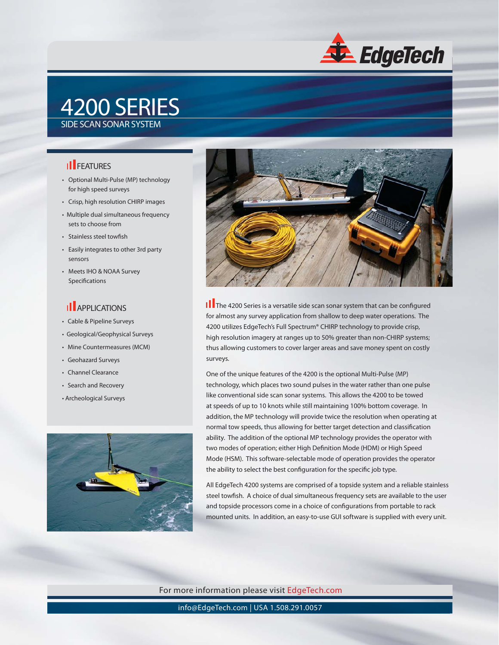

## 4200 SERIES SIDE SCAN SONAR SYSTEM

### **II** FEATURES

- Optional Multi-Pulse (MP) technology for high speed surveys
- Crisp, high resolution CHIRP images
- Multiple dual simultaneous frequency sets to choose from
- Stainless steel towfish
- Easily integrates to other 3rd party sensors
- Meets IHO & NOAA Survey Specifications

#### **Il** APPLICATIONS

- Cable & Pipeline Surveys
- Geological/Geophysical Surveys
- Mine Countermeasures (MCM)
- Geohazard Surveys
- Channel Clearance
- Search and Recovery • Archeological Surveys





**I** The 4200 Series is a versatile side scan sonar system that can be configured for almost any survey application from shallow to deep water operations. The 4200 utilizes EdgeTech's Full Spectrum® CHIRP technology to provide crisp, high resolution imagery at ranges up to 50% greater than non-CHIRP systems; thus allowing customers to cover larger areas and save money spent on costly surveys.

One of the unique features of the 4200 is the optional Multi-Pulse (MP) technology, which places two sound pulses in the water rather than one pulse like conventional side scan sonar systems. This allows the 4200 to be towed at speeds of up to 10 knots while still maintaining 100% bottom coverage. In addition, the MP technology will provide twice the resolution when operating at normal tow speeds, thus allowing for better target detection and classification ability. The addition of the optional MP technology provides the operator with two modes of operation; either High Definition Mode (HDM) or High Speed Mode (HSM). This software-selectable mode of operation provides the operator the ability to select the best configuration for the specific job type.

All EdgeTech 4200 systems are comprised of a topside system and a reliable stainless steel towfish. A choice of dual simultaneous frequency sets are available to the user and topside processors come in a choice of configurations from portable to rack mounted units. In addition, an easy-to-use GUI software is supplied with every unit.

For more information please visit EdgeTech.com